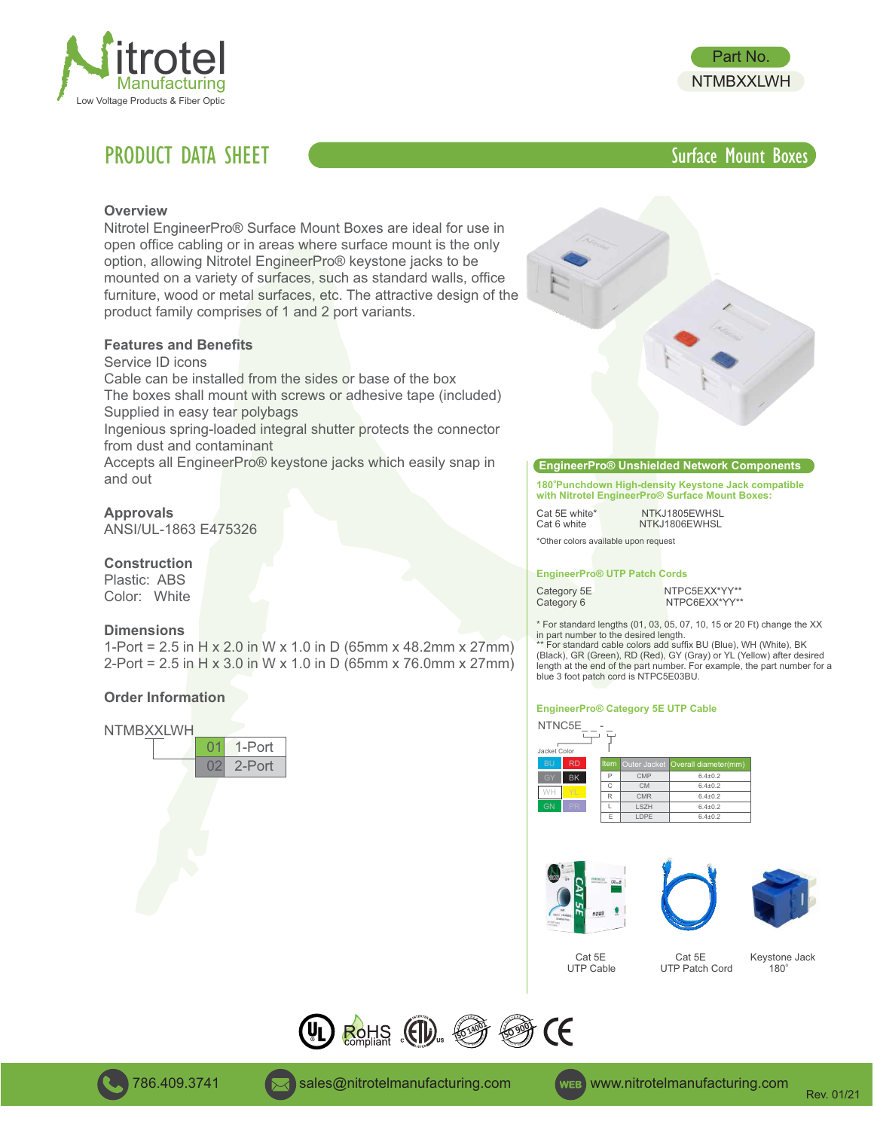

# **PRODUCT DATA SHEET** SURFACE SURFACE SURFACE SURFACE MOUNT BOXES



#### **Overview**

Nitrotel EngineerPro® Surface Mount Boxes are ideal for use in open office cabling or in areas where surface mount is the only option, allowing Nitrotel EngineerPro® keystone jacks to be mounted on a variety of surfaces, such as standard walls, office furniture, wood or metal surfaces, etc. The attractive design of the product family comprises of 1 and 2 port variants.

### **Features and Benefits**

Service ID icons

Cable can be installed from the sides or base of the box The boxes shall mount with screws or adhesive tape (included)

Supplied in easy tear polybags

Ingenious spring-loaded integral shutter protects the connector from dust and contaminant

Accepts all EngineerPro® keystone jacks which easily snap in and out

**Approvals**

ANSI/UL-1863 E475326

#### **Construction**

Plastic: ABS Color: White

#### **Dimensions**

1-Port = 2.5 in H x 2.0 in W x 1.0 in D (65mm x 48.2mm x 27mm) 2-Port = 2.5 in H x 3.0 in W x 1.0 in D (65mm x 76.0mm x 27mm)

#### **Order Information**





#### **EngineerPro® Unshielded Network Components**

**o 180 Punchdown High-density Keystone Jack compatible with Nitrotel EngineerPro® Surface Mount Boxes:**

Cat 5E white\* NTKJ1805EWHSL<br>Cat 6 white NTKJ1806EWHSL

NTKJ1806EWHSL

## \*Other colors available upon request

#### **EngineerPro® UTP Patch Cords**

Category 5E NTPC5EXX\*YY\*\*<br>Category 6 NTPC6EXX\*YY\*\* NTPC6EXX\*YY\*\*

\* For standard lengths (01, 03, 05, 07, 10, 15 or 20 Ft) change the XX in part number to the desired length.

\*\* For standard cable colors add suffix BU (Blue), WH (White), BK (Black), GR (Green), RD (Red), GY (Gray) or YL (Yellow) after desired length at the end of the part number. For example, the part number for a blue 3 foot patch cord is NTPC5E03BU.

#### **EngineerPro® Category 5E UTP Cable**



| RD        |   |             | Item Outer Jacket Overall diameter(mm) |
|-----------|---|-------------|----------------------------------------|
| <b>BK</b> | Ð | CMP         | $6.4 + 0.2$                            |
|           | C | <b>CM</b>   | $6.4 + 0.2$                            |
|           | R | <b>CMR</b>  | $6.4 + 0.2$                            |
| PR        |   | <b>LSZH</b> | $6.4 + 0.2$                            |
|           | E | <b>LDPF</b> | $6.4{\pm}0.2$                          |





Cat 5E Cat 5E Keystone Jack<br>
UTP Cable UTP Patch Cord 180°  $180^\circ$ UTP Patch Cord